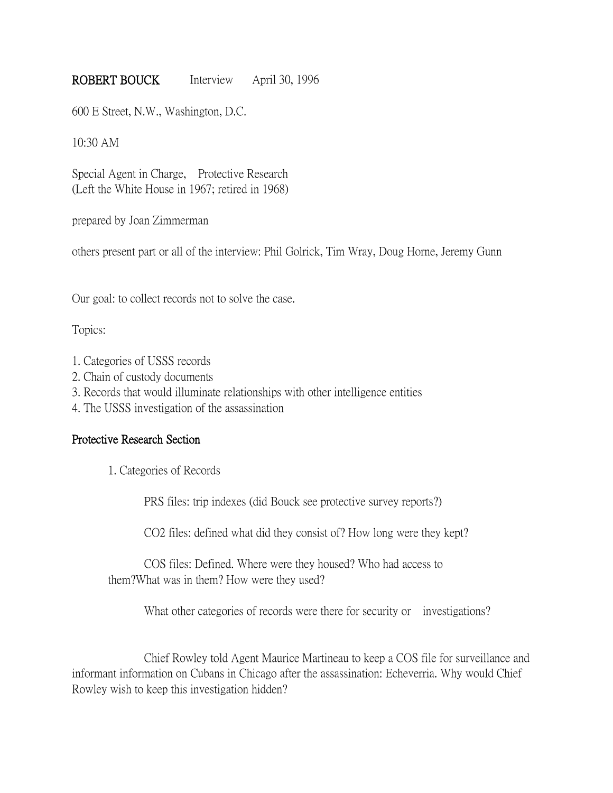# ROBERT BOUCK Interview April 30, 1996

600 E Street, N.W., Washington, D.C.

10:30 AM

Special Agent in Charge, Protective Research (Left the White House in 1967; retired in 1968)

prepared by Joan Zimmerman

others present part or all of the interview: Phil Golrick, Tim Wray, Doug Horne, Jeremy Gunn

Our goal: to collect records not to solve the case.

Topics:

- 1. Categories of USSS records
- 2. Chain of custody documents
- 3. Records that would illuminate relationships with other intelligence entities
- 4. The USSS investigation of the assassination

## Protective Research Section

1. Categories of Records

PRS files: trip indexes (did Bouck see protective survey reports?)

CO2 files: defined what did they consist of? How long were they kept?

COS files: Defined. Where were they housed? Who had access to them?What was in them? How were they used?

What other categories of records were there for security or investigations?

Chief Rowley told Agent Maurice Martineau to keep a COS file for surveillance and informant information on Cubans in Chicago after the assassination: Echeverria. Why would Chief Rowley wish to keep this investigation hidden?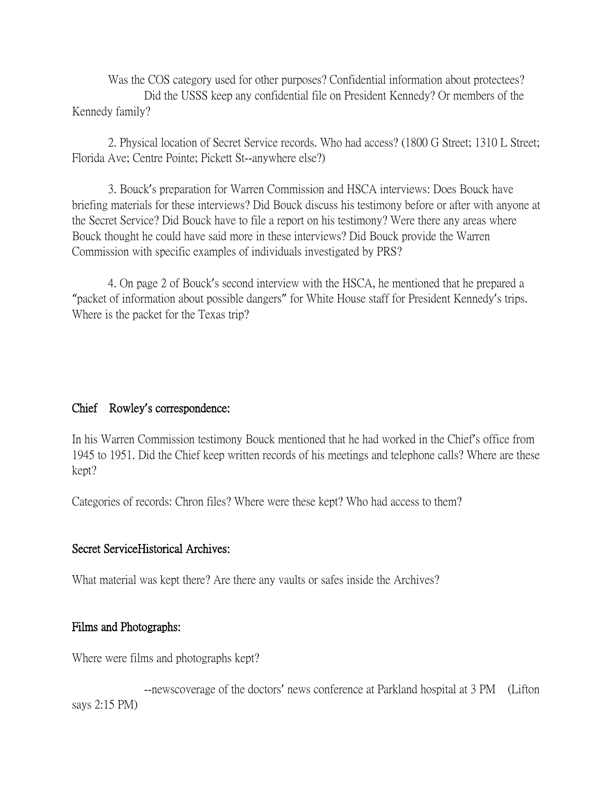Was the COS category used for other purposes? Confidential information about protectees? Did the USSS keep any confidential file on President Kennedy? Or members of the Kennedy family?

2. Physical location of Secret Service records. Who had access? (1800 G Street; 1310 L Street; Florida Ave; Centre Pointe; Pickett St--anywhere else?)

3. Bouck's preparation for Warren Commission and HSCA interviews: Does Bouck have briefing materials for these interviews? Did Bouck discuss his testimony before or after with anyone at the Secret Service? Did Bouck have to file a report on his testimony? Were there any areas where Bouck thought he could have said more in these interviews? Did Bouck provide the Warren Commission with specific examples of individuals investigated by PRS?

4. On page 2 of Bouck's second interview with the HSCA, he mentioned that he prepared a "packet of information about possible dangers" for White House staff for President Kennedy's trips. Where is the packet for the Texas trip?

## Chief Rowley**'**s correspondence:

In his Warren Commission testimony Bouck mentioned that he had worked in the Chief's office from 1945 to 1951. Did the Chief keep written records of his meetings and telephone calls? Where are these kept?

Categories of records: Chron files? Where were these kept? Who had access to them?

## Secret ServiceHistorical Archives:

What material was kept there? Are there any vaults or safes inside the Archives?

## Films and Photographs:

Where were films and photographs kept?

--newscoverage of the doctors' news conference at Parkland hospital at 3 PM (Lifton says 2:15 PM)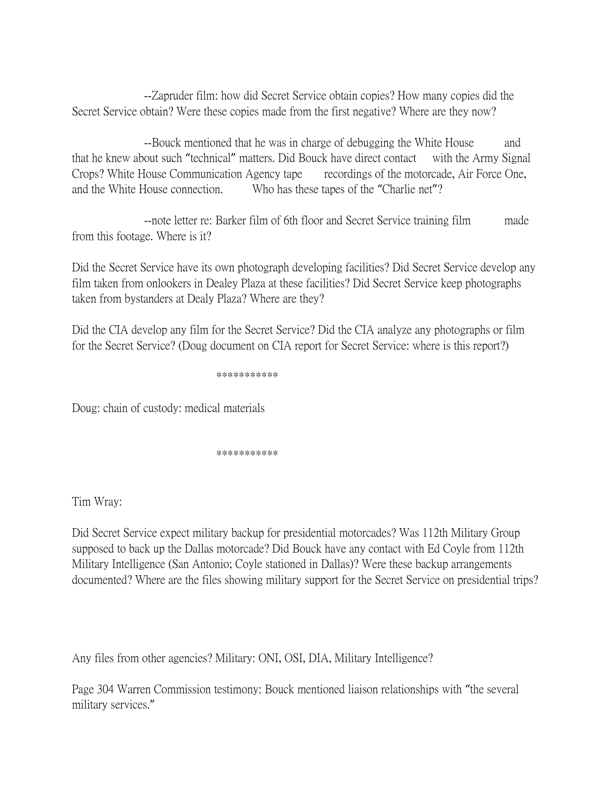--Zapruder film: how did Secret Service obtain copies? How many copies did the Secret Service obtain? Were these copies made from the first negative? Where are they now?

--Bouck mentioned that he was in charge of debugging the White House and that he knew about such "technical" matters. Did Bouck have direct contact with the Army Signal Crops? White House Communication Agency tape recordings of the motorcade, Air Force One, and the White House connection. Who has these tapes of the "Charlie net"?

--note letter re: Barker film of 6th floor and Secret Service training film made from this footage. Where is it?

Did the Secret Service have its own photograph developing facilities? Did Secret Service develop any film taken from onlookers in Dealey Plaza at these facilities? Did Secret Service keep photographs taken from bystanders at Dealy Plaza? Where are they?

Did the CIA develop any film for the Secret Service? Did the CIA analyze any photographs or film for the Secret Service? (Doug document on CIA report for Secret Service: where is this report?)

\*\*\*\*\*\*\*\*\*\*\*

Doug: chain of custody: medical materials

\*\*\*\*\*\*\*\*\*\*\*

Tim Wray:

Did Secret Service expect military backup for presidential motorcades? Was 112th Military Group supposed to back up the Dallas motorcade? Did Bouck have any contact with Ed Coyle from 112th Military Intelligence (San Antonio; Coyle stationed in Dallas)? Were these backup arrangements documented? Where are the files showing military support for the Secret Service on presidential trips?

Any files from other agencies? Military: ONI, OSI, DIA, Military Intelligence?

Page 304 Warren Commission testimony: Bouck mentioned liaison relationships with "the several military services."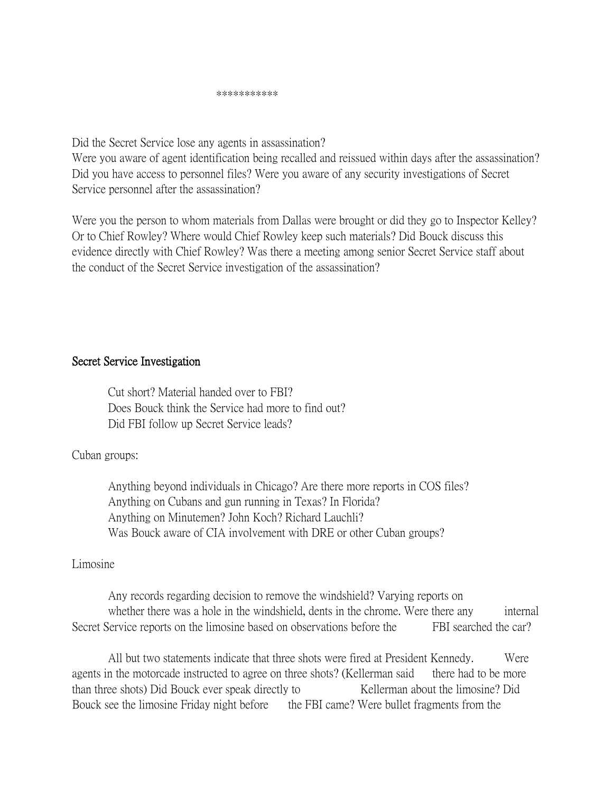Did the Secret Service lose any agents in assassination?

Were you aware of agent identification being recalled and reissued within days after the assassination? Did you have access to personnel files? Were you aware of any security investigations of Secret Service personnel after the assassination?

Were you the person to whom materials from Dallas were brought or did they go to Inspector Kelley? Or to Chief Rowley? Where would Chief Rowley keep such materials? Did Bouck discuss this evidence directly with Chief Rowley? Was there a meeting among senior Secret Service staff about the conduct of the Secret Service investigation of the assassination?

## Secret Service Investigation

Cut short? Material handed over to FBI? Does Bouck think the Service had more to find out? Did FBI follow up Secret Service leads?

## Cuban groups:

Anything beyond individuals in Chicago? Are there more reports in COS files? Anything on Cubans and gun running in Texas? In Florida? Anything on Minutemen? John Koch? Richard Lauchli? Was Bouck aware of CIA involvement with DRE or other Cuban groups?

## Limosine

Any records regarding decision to remove the windshield? Varying reports on whether there was a hole in the windshield, dents in the chrome. Were there any internal Secret Service reports on the limosine based on observations before the FBI searched the car?

All but two statements indicate that three shots were fired at President Kennedy. Were agents in the motorcade instructed to agree on three shots? (Kellerman said there had to be more than three shots) Did Bouck ever speak directly to Kellerman about the limosine? Did Bouck see the limosine Friday night before the FBI came? Were bullet fragments from the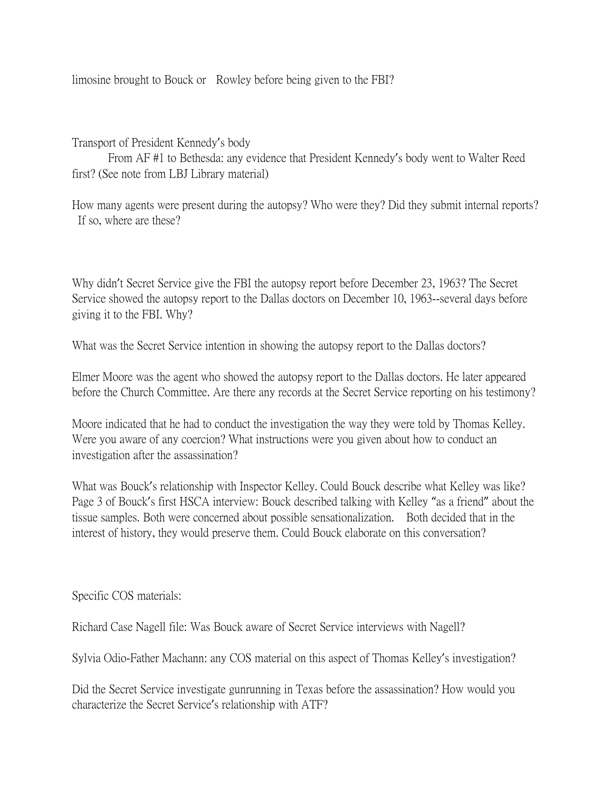limosine brought to Bouck or Rowley before being given to the FBI?

Transport of President Kennedy's body

From AF #1 to Bethesda: any evidence that President Kennedy's body went to Walter Reed first? (See note from LBJ Library material)

How many agents were present during the autopsy? Who were they? Did they submit internal reports? If so, where are these?

Why didn't Secret Service give the FBI the autopsy report before December 23, 1963? The Secret Service showed the autopsy report to the Dallas doctors on December 10, 1963--several days before giving it to the FBI. Why?

What was the Secret Service intention in showing the autopsy report to the Dallas doctors?

Elmer Moore was the agent who showed the autopsy report to the Dallas doctors. He later appeared before the Church Committee. Are there any records at the Secret Service reporting on his testimony?

Moore indicated that he had to conduct the investigation the way they were told by Thomas Kelley. Were you aware of any coercion? What instructions were you given about how to conduct an investigation after the assassination?

What was Bouck's relationship with Inspector Kelley. Could Bouck describe what Kelley was like? Page 3 of Bouck's first HSCA interview: Bouck described talking with Kelley "as a friend" about the tissue samples. Both were concerned about possible sensationalization. Both decided that in the interest of history, they would preserve them. Could Bouck elaborate on this conversation?

Specific COS materials:

Richard Case Nagell file: Was Bouck aware of Secret Service interviews with Nagell?

Sylvia Odio-Father Machann: any COS material on this aspect of Thomas Kelley's investigation?

Did the Secret Service investigate gunrunning in Texas before the assassination? How would you characterize the Secret Service's relationship with ATF?